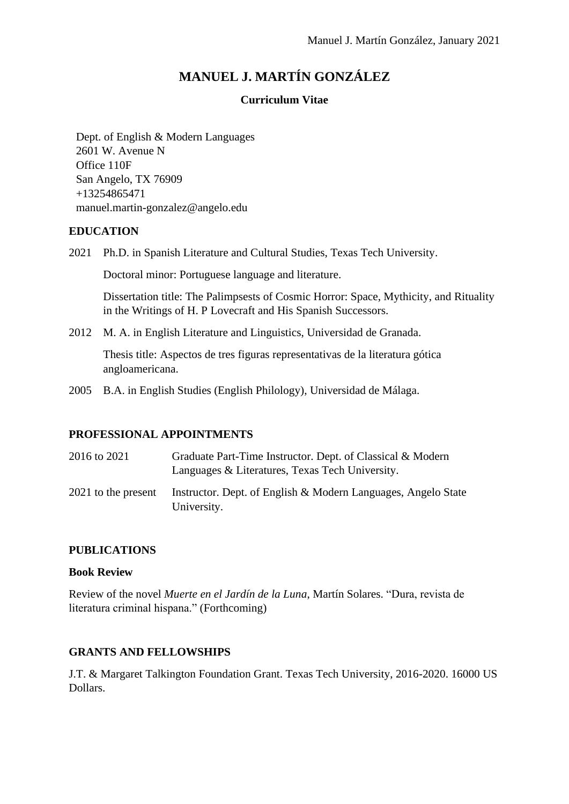# **MANUEL J. MARTÍN GONZÁLEZ**

### **Curriculum Vitae**

Dept. of English & Modern Languages 2601 W. Avenue N Office 110F San Angelo, TX 76909 +13254865471 manuel.martin-gonzalez@angelo.edu

# **EDUCATION**

2021 Ph.D. in Spanish Literature and Cultural Studies, Texas Tech University.

Doctoral minor: Portuguese language and literature.

Dissertation title: The Palimpsests of Cosmic Horror: Space, Mythicity, and Rituality in the Writings of H. P Lovecraft and His Spanish Successors.

2012 M. A. in English Literature and Linguistics, Universidad de Granada.

Thesis title: Aspectos de tres figuras representativas de la literatura gótica angloamericana.

2005 B.A. in English Studies (English Philology), Universidad de Málaga.

# **PROFESSIONAL APPOINTMENTS**

| 2016 to 2021        | Graduate Part-Time Instructor. Dept. of Classical & Modern<br>Languages & Literatures, Texas Tech University. |
|---------------------|---------------------------------------------------------------------------------------------------------------|
| 2021 to the present | Instructor. Dept. of English & Modern Languages, Angelo State<br>University.                                  |

# **PUBLICATIONS**

### **Book Review**

Review of the novel *Muerte en el Jardín de la Luna*, Martín Solares. "Dura, revista de literatura criminal hispana." (Forthcoming)

# **GRANTS AND FELLOWSHIPS**

J.T. & Margaret Talkington Foundation Grant. Texas Tech University, 2016-2020. 16000 US Dollars.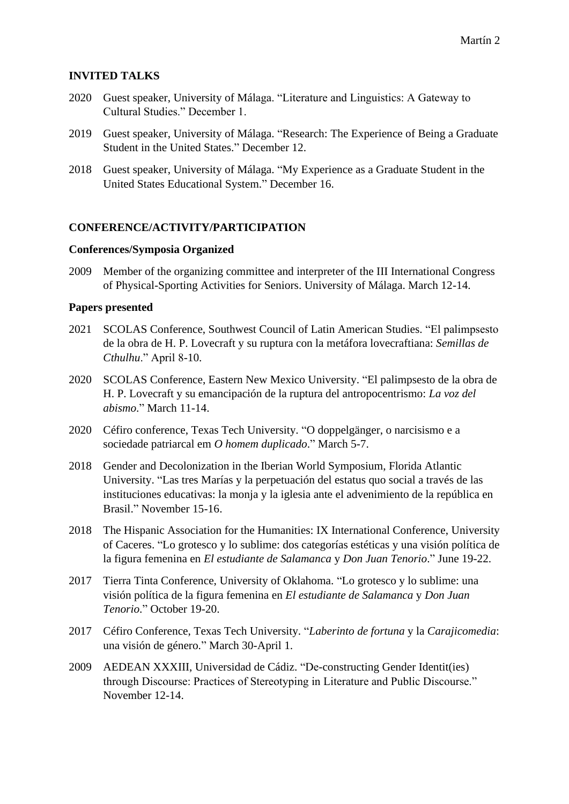# **INVITED TALKS**

- 2020 Guest speaker, University of Málaga. "Literature and Linguistics: A Gateway to Cultural Studies." December 1.
- 2019 Guest speaker, University of Málaga. "Research: The Experience of Being a Graduate Student in the United States." December 12.
- 2018 Guest speaker, University of Málaga. "My Experience as a Graduate Student in the United States Educational System." December 16.

### **CONFERENCE/ACTIVITY/PARTICIPATION**

#### **Conferences/Symposia Organized**

2009 Member of the organizing committee and interpreter of the III International Congress of Physical-Sporting Activities for Seniors. University of Málaga. March 12-14.

### **Papers presented**

- 2021 SCOLAS Conference, Southwest Council of Latin American Studies. "El palimpsesto de la obra de H. P. Lovecraft y su ruptura con la metáfora lovecraftiana: *Semillas de Cthulhu*." April 8-10.
- 2020 SCOLAS Conference, Eastern New Mexico University. "El palimpsesto de la obra de H. P. Lovecraft y su emancipación de la ruptura del antropocentrismo: *La voz del abismo*." March 11-14.
- 2020 Céfiro conference, Texas Tech University. "O doppelgänger, o narcisismo e a sociedade patriarcal em *O homem duplicado*." March 5-7.
- 2018 Gender and Decolonization in the Iberian World Symposium, Florida Atlantic University. "Las tres Marías y la perpetuación del estatus quo social a través de las instituciones educativas: la monja y la iglesia ante el advenimiento de la república en Brasil." November 15-16.
- 2018 The Hispanic Association for the Humanities: IX International Conference, University of Caceres. "Lo grotesco y lo sublime: dos categorías estéticas y una visión política de la figura femenina en *El estudiante de Salamanca* y *Don Juan Tenorio*." June 19-22.
- 2017 Tierra Tinta Conference, University of Oklahoma. "Lo grotesco y lo sublime: una visión política de la figura femenina en *El estudiante de Salamanca* y *Don Juan Tenorio*." October 19-20.
- 2017 Céfiro Conference, Texas Tech University. "*Laberinto de fortuna* y la *Carajicomedia*: una visión de género." March 30-April 1.
- 2009 AEDEAN XXXIII, Universidad de Cádiz. "De-constructing Gender Identit(ies) through Discourse: Practices of Stereotyping in Literature and Public Discourse." November 12-14.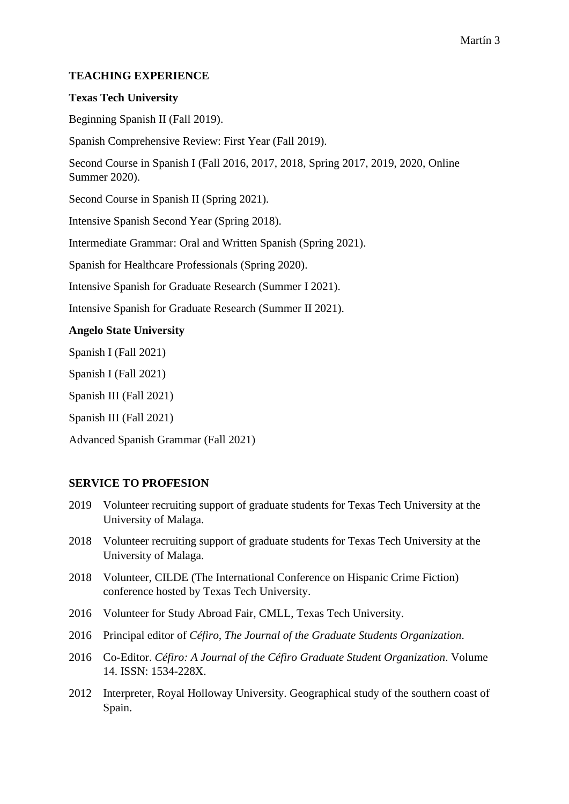# **TEACHING EXPERIENCE**

### **Texas Tech University**

Beginning Spanish II (Fall 2019).

Spanish Comprehensive Review: First Year (Fall 2019).

Second Course in Spanish I (Fall 2016, 2017, 2018, Spring 2017, 2019, 2020, Online Summer 2020).

Second Course in Spanish II (Spring 2021).

Intensive Spanish Second Year (Spring 2018).

Intermediate Grammar: Oral and Written Spanish (Spring 2021).

Spanish for Healthcare Professionals (Spring 2020).

Intensive Spanish for Graduate Research (Summer I 2021).

Intensive Spanish for Graduate Research (Summer II 2021).

### **Angelo State University**

Spanish I (Fall 2021)

Spanish I (Fall 2021)

Spanish III (Fall 2021)

Spanish III (Fall 2021)

Advanced Spanish Grammar (Fall 2021)

# **SERVICE TO PROFESION**

- 2019 Volunteer recruiting support of graduate students for Texas Tech University at the University of Malaga.
- 2018 Volunteer recruiting support of graduate students for Texas Tech University at the University of Malaga.
- 2018 Volunteer, CILDE (The International Conference on Hispanic Crime Fiction) conference hosted by Texas Tech University.
- 2016 Volunteer for Study Abroad Fair, CMLL, Texas Tech University.
- 2016 Principal editor of *Céfiro, The Journal of the Graduate Students Organization*.
- 2016 Co-Editor. *Céfiro: A Journal of the Céfiro Graduate Student Organization*. Volume 14. ISSN: 1534-228X.
- 2012 Interpreter, Royal Holloway University. Geographical study of the southern coast of Spain.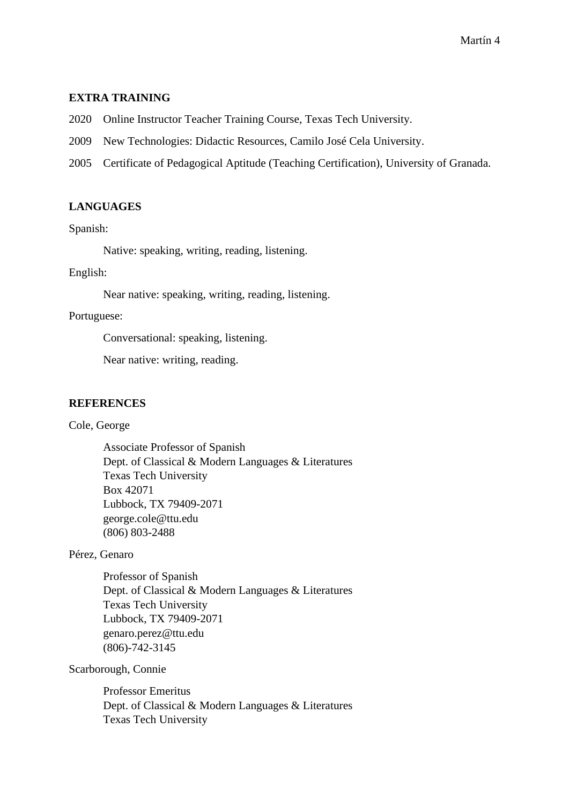### **EXTRA TRAINING**

2020 Online Instructor Teacher Training Course, Texas Tech University.

- 2009 New Technologies: Didactic Resources, Camilo José Cela University.
- 2005 Certificate of Pedagogical Aptitude (Teaching Certification), University of Granada.

# **LANGUAGES**

Spanish:

Native: speaking, writing, reading, listening.

### English:

Near native: speaking, writing, reading, listening.

### Portuguese:

Conversational: speaking, listening.

Near native: writing, reading.

### **REFERENCES**

Cole, George

Associate Professor of Spanish Dept. of Classical & Modern Languages & Literatures Texas Tech University Box 42071 Lubbock, TX 79409-2071 george.cole@ttu.edu (806) 803-2488

### Pérez, Genaro

Professor of Spanish Dept. of Classical & Modern Languages & Literatures Texas Tech University Lubbock, TX 79409-2071 genaro.perez@ttu.edu (806)-742-3145

Scarborough, Connie

Professor Emeritus Dept. of Classical & Modern Languages & Literatures Texas Tech University